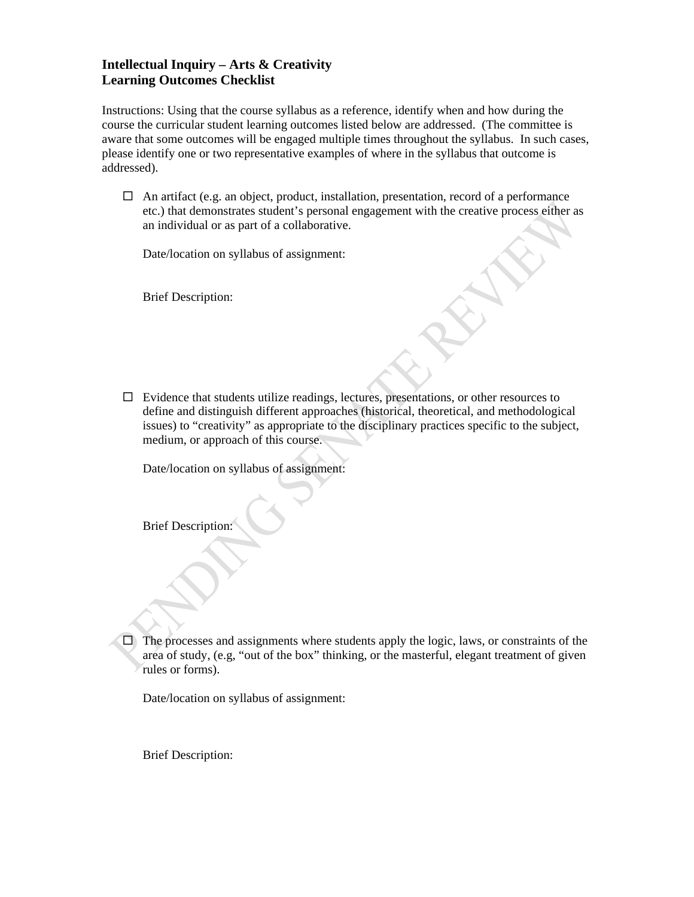## **Intellectual Inquiry – Arts & Creativity Learning Outcomes Checklist**

Instructions: Using that the course syllabus as a reference, identify when and how during the course the curricular student learning outcomes listed below are addressed. (The committee is aware that some outcomes will be engaged multiple times throughout the syllabus. In such cases, please identify one or two representative examples of where in the syllabus that outcome is addressed).

 $\Box$  An artifact (e.g. an object, product, installation, presentation, record of a performance etc.) that demonstrates student's personal engagement with the creative process either as an individual or as part of a collaborative.

Date/location on syllabus of assignment:

Brief Description:

 $\Box$  Evidence that students utilize readings, lectures, presentations, or other resources to define and distinguish different approaches (historical, theoretical, and methodological issues) to "creativity" as appropriate to the disciplinary practices specific to the subject, medium, or approach of this course.

Date/location on syllabus of assignment:

Brief Description:

 $\Box$  The processes and assignments where students apply the logic, laws, or constraints of the area of study, (e.g, "out of the box" thinking, or the masterful, elegant treatment of given rules or forms).

Date/location on syllabus of assignment:

Brief Description: